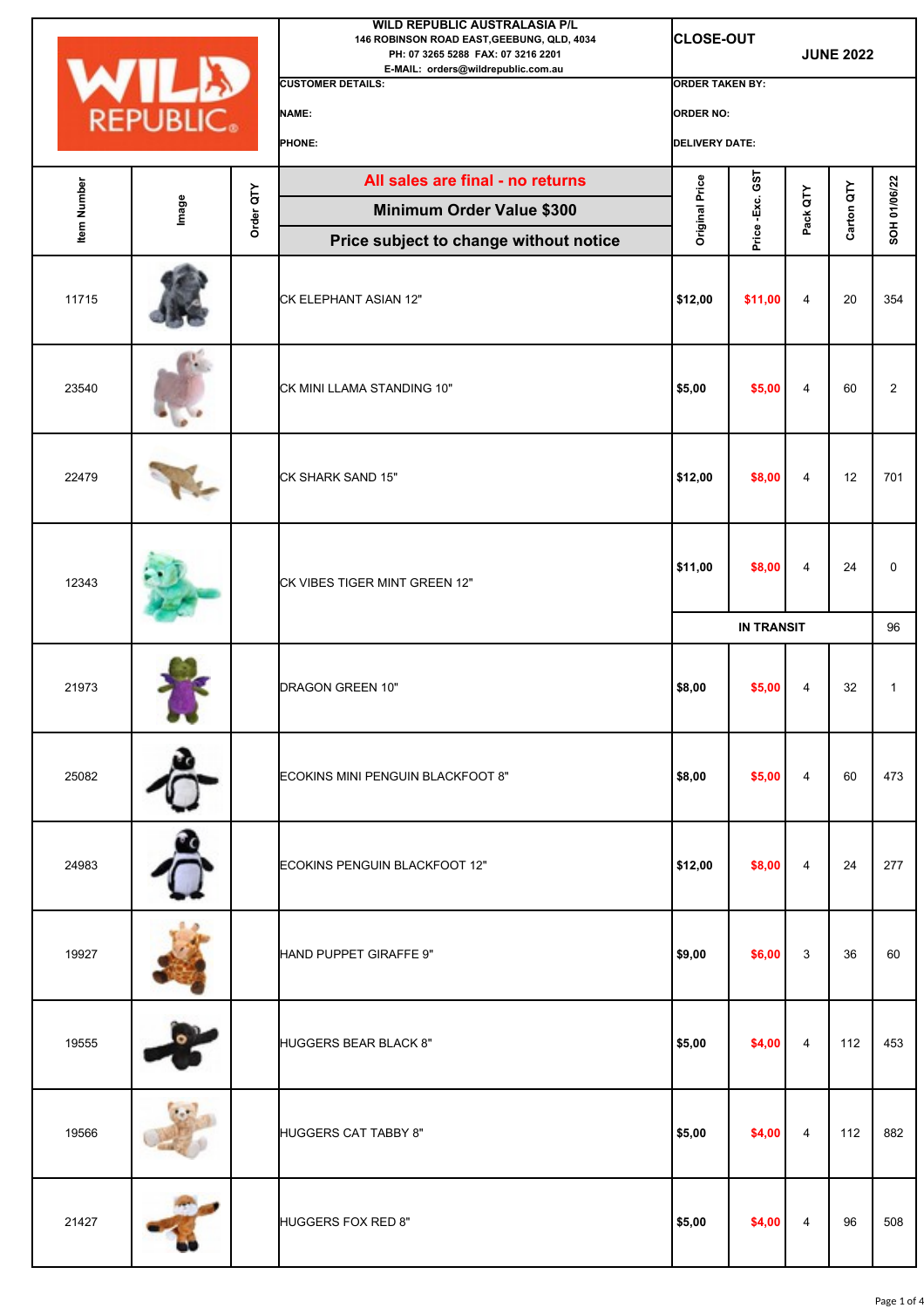|                    |       |           | <b>WILD REPUBLIC AUSTRALASIA P/L</b><br>146 ROBINSON ROAD EAST, GEEBUNG, QLD, 4034<br>PH: 07 3265 5288 FAX: 07 3216 2201<br>E-MAIL: orders@wildrepublic.com.au |                        | <b>CLOSE-OUT</b>      |                | <b>JUNE 2022</b> |                |  |
|--------------------|-------|-----------|----------------------------------------------------------------------------------------------------------------------------------------------------------------|------------------------|-----------------------|----------------|------------------|----------------|--|
|                    |       |           | <b>CUSTOMER DETAILS:</b>                                                                                                                                       | <b>ORDER TAKEN BY:</b> |                       |                |                  |                |  |
| <b>WILD</b>        |       |           | NAME:                                                                                                                                                          | <b>ORDER NO:</b>       |                       |                |                  |                |  |
|                    |       |           | PHONE:                                                                                                                                                         |                        | <b>DELIVERY DATE:</b> |                |                  |                |  |
|                    |       |           | All sales are final - no returns                                                                                                                               | Original Price         | GST                   |                |                  |                |  |
| <b>Item Number</b> | Image | Order QTY | <b>Minimum Order Value \$300</b>                                                                                                                               |                        | Price-Exc.            | Pack QTY       | Carton QTY       | SOH 01/06/22   |  |
|                    |       |           | Price subject to change without notice                                                                                                                         |                        |                       |                |                  |                |  |
| 11715              |       |           | CK ELEPHANT ASIAN 12"                                                                                                                                          | \$12,00                | \$11,00               | 4              | 20               | 354            |  |
| 23540              |       |           | CK MINI LLAMA STANDING 10"                                                                                                                                     | \$5,00                 | \$5,00                | 4              | 60               | $\overline{2}$ |  |
| 22479              |       |           | CK SHARK SAND 15"                                                                                                                                              | \$12,00                | \$8,00                | 4              | 12               | 701            |  |
| 12343              |       |           | CK VIBES TIGER MINT GREEN 12"                                                                                                                                  | \$11,00                | \$8,00                | 4              | 24               | 0              |  |
|                    |       |           |                                                                                                                                                                |                        | <b>IN TRANSIT</b>     |                |                  | 96             |  |
| 21973              |       |           | DRAGON GREEN 10"                                                                                                                                               | \$8,00                 | \$5,00                | 4              | 32               | 1              |  |
| 25082              |       |           | ECOKINS MINI PENGUIN BLACKFOOT 8"                                                                                                                              | \$8,00                 | \$5,00                | $\overline{4}$ | 60               | 473            |  |
| 24983              |       |           | ECOKINS PENGUIN BLACKFOOT 12"                                                                                                                                  | \$12,00                | \$8,00                | 4              | 24               | 277            |  |
| 19927              |       |           | HAND PUPPET GIRAFFE 9"                                                                                                                                         | \$9,00                 | \$6,00                | 3              | 36               | 60             |  |
| 19555              |       |           | HUGGERS BEAR BLACK 8"                                                                                                                                          | \$5,00                 | \$4,00                | 4              | 112              | 453            |  |
| 19566              |       |           | <b>HUGGERS CAT TABBY 8"</b>                                                                                                                                    | \$5,00                 | \$4,00                | 4              | 112              | 882            |  |
| 21427              |       |           | HUGGERS FOX RED 8"                                                                                                                                             | \$5,00                 | \$4,00                | 4              | 96               | 508            |  |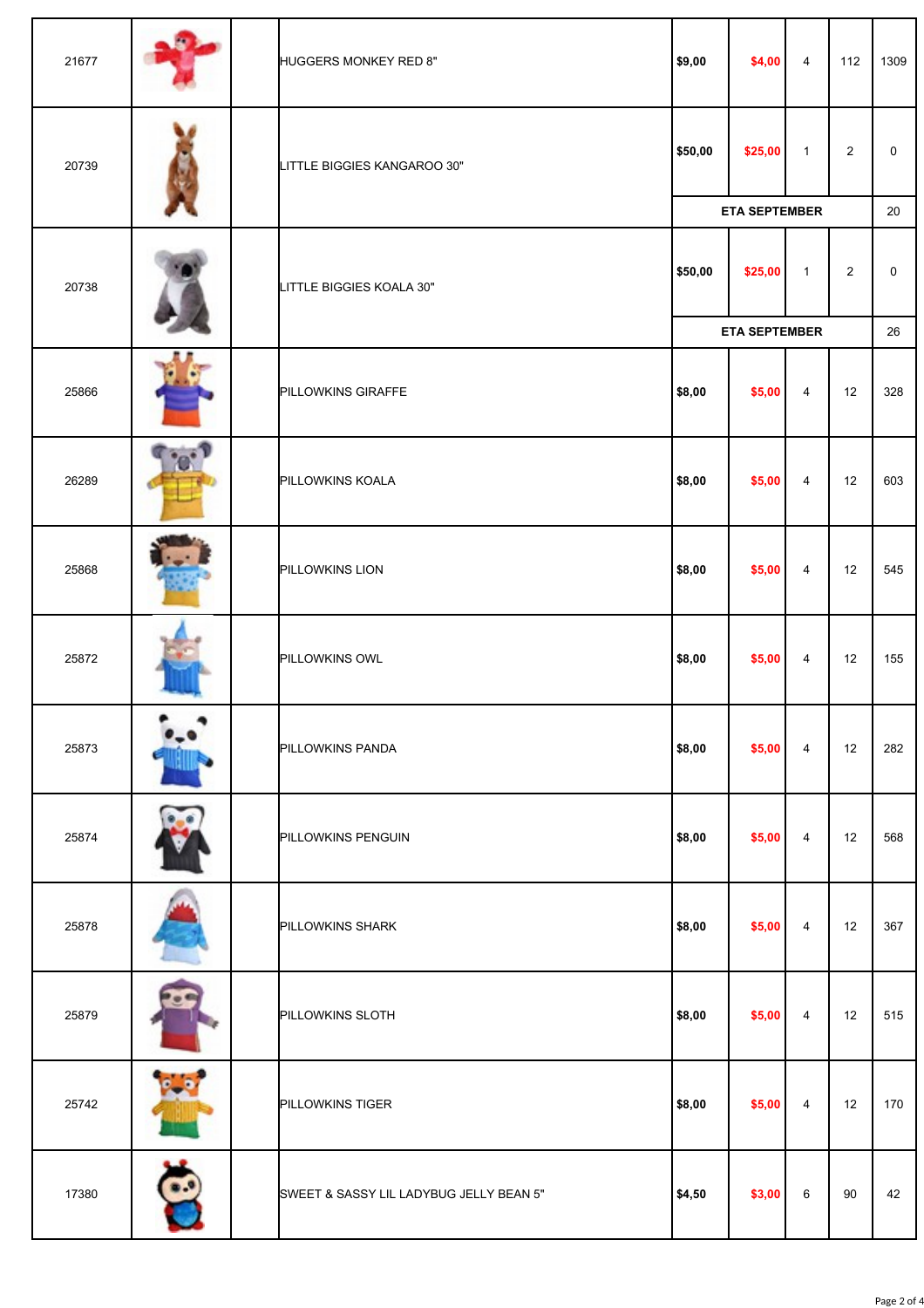| 21677 | HUGGERS MONKEY RED 8"                   | \$9,00               | \$4,00               | $\overline{4}$ | 112            | 1309         |
|-------|-----------------------------------------|----------------------|----------------------|----------------|----------------|--------------|
| 20739 | LITTLE BIGGIES KANGAROO 30"             | \$50,00              | \$25,00              | $\mathbf{1}$   | $\overline{2}$ | $\mathsf{O}$ |
|       |                                         |                      | <b>ETA SEPTEMBER</b> |                |                | 20           |
| 20738 | LITTLE BIGGIES KOALA 30"                | \$50,00              | \$25,00              | $\mathbf{1}$   | $\overline{2}$ | 0            |
|       |                                         | <b>ETA SEPTEMBER</b> |                      |                |                | 26           |
| 25866 | PILLOWKINS GIRAFFE                      | \$8,00               | \$5,00               | $\overline{4}$ | 12             | 328          |
| 26289 | PILLOWKINS KOALA                        | \$8,00               | \$5,00               | 4              | 12             | 603          |
| 25868 | PILLOWKINS LION                         | \$8,00               | \$5,00               | 4              | 12             | 545          |
| 25872 | PILLOWKINS OWL                          | \$8,00               | \$5,00               | $\overline{4}$ | 12             | 155          |
| 25873 | PILLOWKINS PANDA                        | \$8,00               | \$5,00               | $\overline{4}$ | 12             | 282          |
| 25874 | PILLOWKINS PENGUIN                      | \$8,00               | \$5,00               | 4              | 12             | 568          |
| 25878 | PILLOWKINS SHARK                        | \$8,00               | \$5,00               | $\overline{4}$ | 12             | 367          |
| 25879 | <b>PILLOWKINS SLOTH</b>                 | \$8,00               | \$5,00               | 4              | 12             | 515          |
| 25742 | PILLOWKINS TIGER                        | \$8,00               | \$5,00               | 4              | 12             | 170          |
| 17380 | SWEET & SASSY LIL LADYBUG JELLY BEAN 5" | \$4,50               | \$3,00               | 6              | 90             | 42           |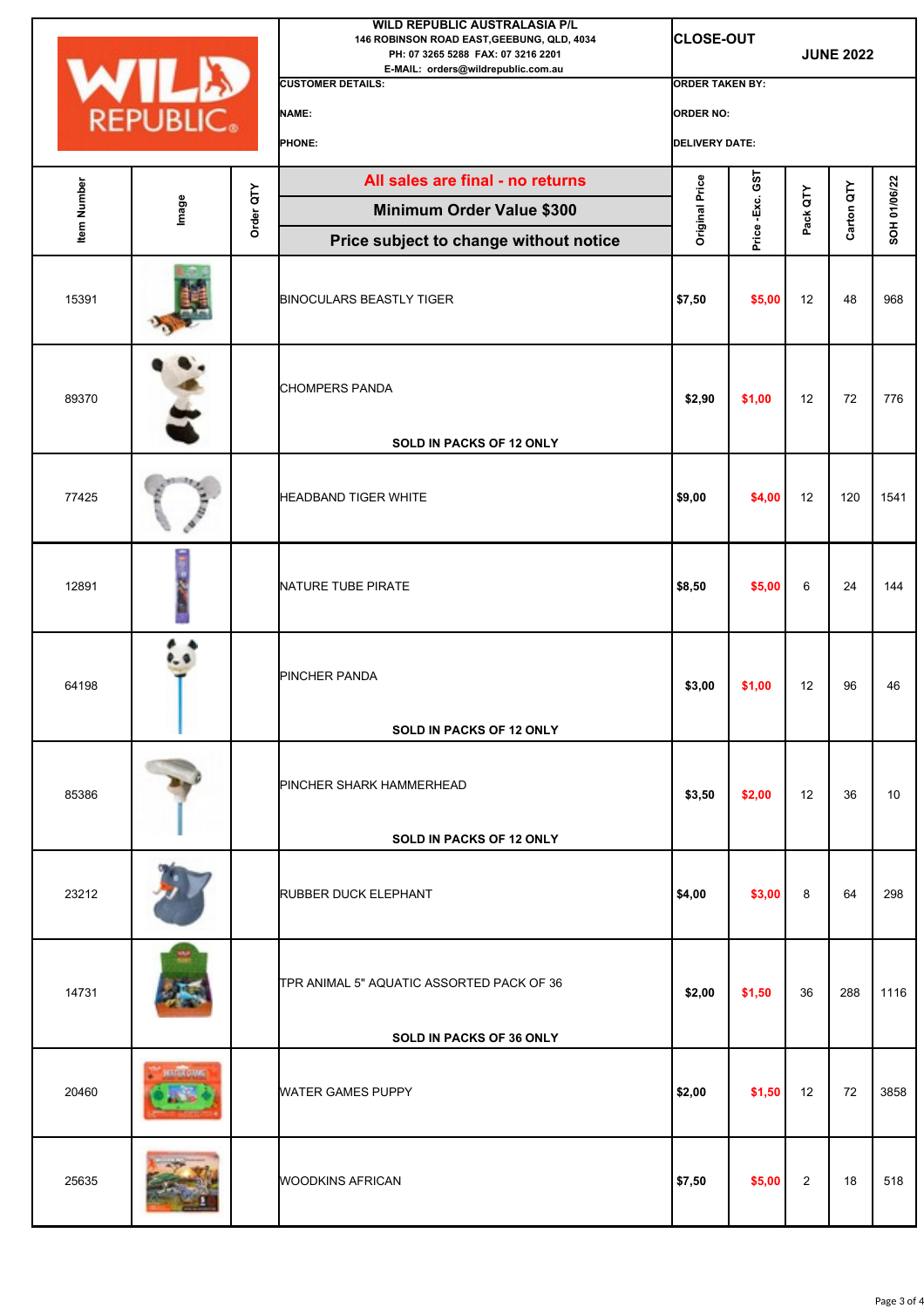|                    |             |           | WILD REPUBLIC AUSTRALASIA P/L<br>146 ROBINSON ROAD EAST, GEEBUNG, QLD, 4034<br>PH: 07 3265 5288 FAX: 07 3216 2201<br>E-MAIL: orders@wildrepublic.com.au | <b>CLOSE-OUT</b>       |            |                   | <b>JUNE 2022</b> |              |
|--------------------|-------------|-----------|---------------------------------------------------------------------------------------------------------------------------------------------------------|------------------------|------------|-------------------|------------------|--------------|
|                    | <b>WILD</b> |           | <b>CUSTOMER DETAILS:</b>                                                                                                                                | <b>ORDER TAKEN BY:</b> |            |                   |                  |              |
|                    |             |           | <b>NAME:</b>                                                                                                                                            | <b>ORDER NO:</b>       |            |                   |                  |              |
|                    |             |           | PHONE:                                                                                                                                                  | <b>DELIVERY DATE:</b>  |            |                   |                  |              |
| <b>Item Number</b> |             |           | All sales are final - no returns                                                                                                                        | <b>Original Price</b>  | GST        |                   |                  |              |
|                    | Image       | Order QTY | Minimum Order Value \$300                                                                                                                               |                        | Price-Exc. | Pack QTY          | Carton QTY       | SOH 01/06/22 |
|                    |             |           | Price subject to change without notice                                                                                                                  |                        |            |                   |                  |              |
| 15391              |             |           | <b>BINOCULARS BEASTLY TIGER</b>                                                                                                                         | \$7,50                 | \$5,00     | 12                | 48               | 968          |
| 89370              |             |           | <b>CHOMPERS PANDA</b>                                                                                                                                   | \$2,90                 | \$1,00     | 12                | 72               | 776          |
|                    |             |           | <b>SOLD IN PACKS OF 12 ONLY</b>                                                                                                                         |                        |            |                   |                  |              |
| 77425              |             |           | HEADBAND TIGER WHITE                                                                                                                                    | \$9,00                 | \$4,00     | 12                | 120              | 1541         |
| 12891              |             |           | NATURE TUBE PIRATE                                                                                                                                      | \$8,50                 | \$5,00     | 6                 | 24               | 144          |
| 64198              |             |           | PINCHER PANDA<br><b>SOLD IN PACKS OF 12 ONLY</b>                                                                                                        | \$3,00                 | \$1,00     | 12                | 96               | 46           |
|                    |             |           |                                                                                                                                                         |                        |            |                   |                  |              |
| 85386              |             |           | PINCHER SHARK HAMMERHEAD<br><b>SOLD IN PACKS OF 12 ONLY</b>                                                                                             | \$3,50                 | \$2,00     | $12 \overline{ }$ | 36               | 10           |
|                    |             |           |                                                                                                                                                         |                        |            |                   |                  |              |
| 23212              |             |           | <b>RUBBER DUCK ELEPHANT</b>                                                                                                                             | \$4,00                 | \$3,00     | 8                 | 64               | 298          |
| 14731              |             |           | TPR ANIMAL 5" AQUATIC ASSORTED PACK OF 36<br><b>SOLD IN PACKS OF 36 ONLY</b>                                                                            | \$2,00                 | \$1,50     | 36                | 288              | 1116         |
|                    |             |           |                                                                                                                                                         |                        |            |                   |                  |              |
| 20460              |             |           | <b>WATER GAMES PUPPY</b>                                                                                                                                | \$2,00                 | \$1,50     | $12 \overline{ }$ | 72               | 3858         |
| 25635              |             |           | <b>WOODKINS AFRICAN</b>                                                                                                                                 | \$7,50                 | \$5,00     | $\overline{2}$    | 18               | 518          |